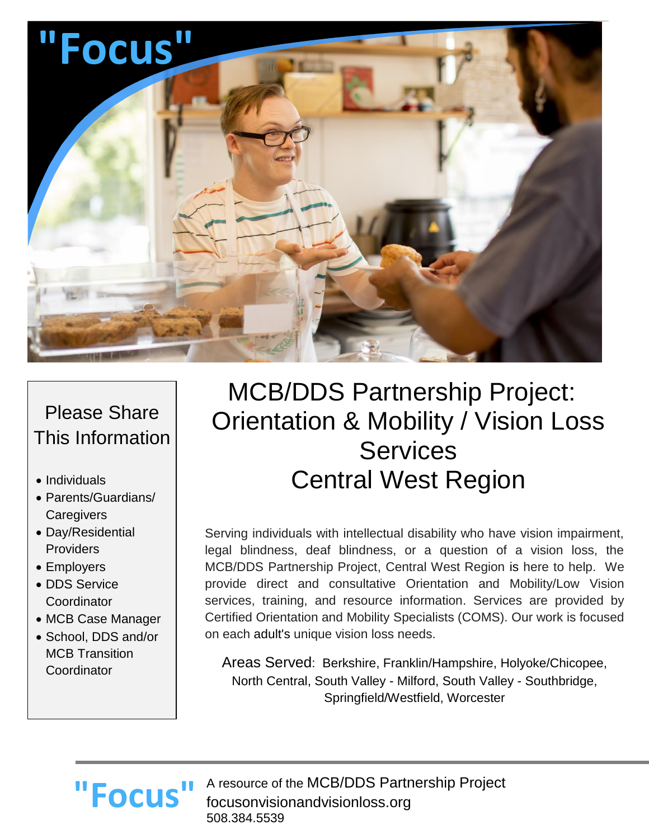

### Please Share This Information

- Individuals
- Parents/Guardians/ **Caregivers**
- Day/Residential **Providers**
- Employers
- DDS Service **Coordinator**
- MCB Case Manager
- School, DDS and/or MCB Transition **Coordinator**

# MCB/DDS Partnership Project: Orientation & Mobility / Vision Loss Services Central West Region

Serving individuals with intellectual disability who have vision impairment, legal blindness, deaf blindness, or a question of a vision loss, the MCB/DDS Partnership Project, Central West Region is here to help. We provide direct and consultative Orientation and Mobility/Low Vision services, training, and resource information. Services are provided by Certified Orientation and Mobility Specialists (COMS). Our work is focused on each adult's unique vision loss needs.

Areas Served: Berkshire, Franklin/Hampshire, Holyoke/Chicopee, North Central, South Valley - Milford, South Valley - Southbridge, Springfield/Westfield, Worcester

# **"Focus"**

A resource of the MCB/DDS Partnership Project focusonvisionandvisionloss.org 508.384.5539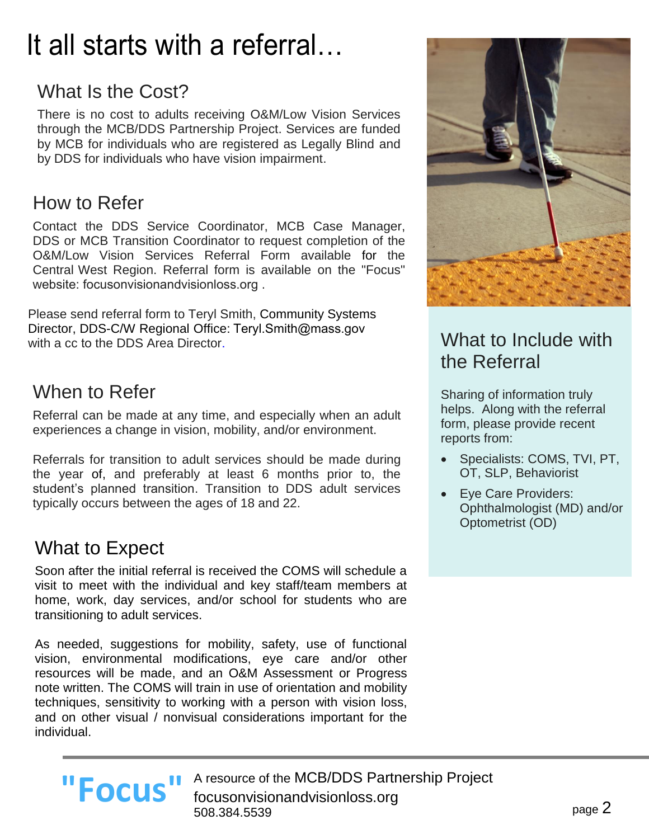# It all starts with a referral…

## What Is the Cost?

There is no cost to adults receiving O&M/Low Vision Services through the MCB/DDS Partnership Project. Services are funded by MCB for individuals who are registered as Legally Blind and by DDS for individuals who have vision impairment.

#### How to Refer

Contact the DDS Service Coordinator, MCB Case Manager, DDS or MCB Transition Coordinator to request completion of the O&M/Low Vision Services Referral Form available for the Central West Region. Referral form is available on the "Focus" w[ebsite: focusonvisionandvisionloss.o](http://www.focusonvisionandvisionloss.org/)rg .

Please send referral form to Teryl Smith, Community Systems Director, DDS-C/W Regional Office: [Teryl.Smith@mass.gov](mailto:Teryl.Smith@mass.gov) with a cc to the DDS Area Director.

#### When to Refer

Referral can be made at any time, and especially when an adult experiences a change in vision, mobility, and/or environment.

Referrals for transition to adult services should be made during the year of, and preferably at least 6 months prior to, the student's planned transition. Transition to DDS adult services typically occurs between the ages of 18 and 22.

### What to Expect

Soon after the initial referral is received the COMS will schedule a visit to meet with the individual and key staff/team members at home, work, day services, and/or school for students who are transitioning to adult services.

As needed, suggestions for mobility, safety, use of functional vision, environmental modifications, eye care and/or other resources will be made, and an O&M Assessment or Progress note written. The COMS will train in use of orientation and mobility techniques, sensitivity to working with a person with vision loss, and on other visual / nonvisual considerations important for the individual.



### What to Include with the Referral

Sharing of information truly helps. Along with the referral form, please provide recent reports from:

- Specialists: COMS, TVI, PT, OT, SLP, Behaviorist
- Eye Care Providers: Ophthalmologist (MD) and/or Optometrist (OD)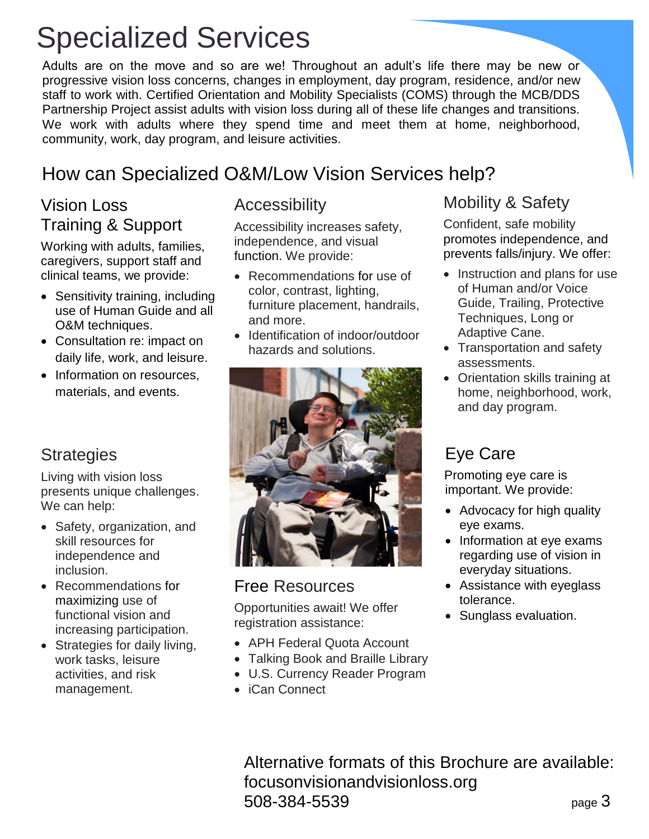# Specialized Services

Adults are on the move and so are we! Throughout an adult's life there may be new or progressive vision loss concerns, changes in employment, day program, residence, and/or new staff to work with. Certified Orientation and Mobility Specialists (COMS) through the MCB/DDS Partnership Project assist adults with vision loss during all of these life changes and transitions. We work with adults where they spend time and meet them at home, neighborhood, community, work, day program, and leisure activities.

### How can Specialized O&M/Low Vision Services help?

#### Vision Loss Training & Support

Working with adults, families, caregivers, support staff and clinical teams, we provide:

- Sensitivity training, including use of Human Guide and all O&M techniques.
- Consultation re: impact on daily life, work, and leisure.
- Information on resources. materials, and events.

#### **Strategies**

Living with vision loss presents unique challenges. We can help:

- Safety, organization, and skill resources for independence and inclusion.
- Recommendations for maximizing use of functional vision and increasing participation.
- Strategies for daily living, work tasks, leisure activities, and risk management.

#### Accessibility

Accessibility increases safety, independence, and visual function. We provide:

- Recommendations for use of color, contrast, lighting, furniture placement, handrails, and more.
- Identification of indoor/outdoor hazards and solutions.



#### Free Resources

Opportunities await! We offer registration assistance:

- APH Federal Quota Account
- Talking Book and Braille Library
- U.S. Currency Reader Program
- iCan Connect

#### Mobility & Safety

Confident, safe mobility promotes independence, and prevents falls/injury. We offer:

- Instruction and plans for use of Human and/or Voice Guide, Trailing, Protective Techniques, Long or Adaptive Cane.
- Transportation and safety assessments.
- Orientation skills training at home, neighborhood, work, and day program.

### Eye Care

Promoting eye care is important. We provide:

- Advocacy for high quality eye exams.
- Information at eye exams regarding use of vision in everyday situations.
- Assistance with eyeglass tolerance.
- Sunglass evaluation.

page 3 Alternative formats of this Brochure are available: focusonvisionandvisionloss.org 508-384-5539